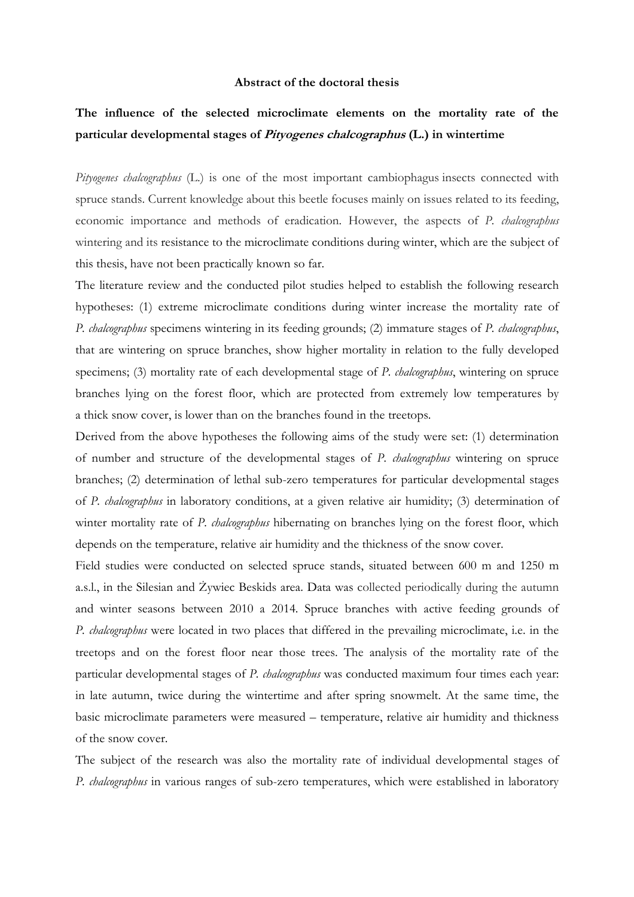## **Abstract of the doctoral thesis**

## **The influence of the selected microclimate elements on the mortality rate of the particular developmental stages of Pityogenes chalcographus (L.) in wintertime**

*Pityogenes chalcographus* (L.) is one of the most important cambiophagus insects connected with spruce stands. Current knowledge about this beetle focuses mainly on issues related to its feeding, economic importance and methods of eradication. However, the aspects of *P. chalcographus* wintering and its resistance to the microclimate conditions during winter, which are the subject of this thesis, have not been practically known so far.

The literature review and the conducted pilot studies helped to establish the following research hypotheses: (1) extreme microclimate conditions during winter increase the mortality rate of *P. chalcographus* specimens wintering in its feeding grounds; (2) immature stages of *P. chalcographus*, that are wintering on spruce branches, show higher mortality in relation to the fully developed specimens; (3) mortality rate of each developmental stage of *P. chalcographus*, wintering on spruce branches lying on the forest floor, which are protected from extremely low temperatures by a thick snow cover, is lower than on the branches found in the treetops.

Derived from the above hypotheses the following aims of the study were set: (1) determination of number and structure of the developmental stages of *P. chalcographus* wintering on spruce branches; (2) determination of lethal sub-zero temperatures for particular developmental stages of *P. chalcographus* in laboratory conditions, at a given relative air humidity; (3) determination of winter mortality rate of *P. chalcographus* hibernating on branches lying on the forest floor, which depends on the temperature, relative air humidity and the thickness of the snow cover.

Field studies were conducted on selected spruce stands, situated between 600 m and 1250 m a.s.l., in the Silesian and Żywiec Beskids area. Data was collected periodically during the autumn and winter seasons between 2010 a 2014. Spruce branches with active feeding grounds of *P. chalcographus* were located in two places that differed in the prevailing microclimate, i.e. in the treetops and on the forest floor near those trees. The analysis of the mortality rate of the particular developmental stages of *P. chalcographus* was conducted maximum four times each year: in late autumn, twice during the wintertime and after spring snowmelt. At the same time, the basic microclimate parameters were measured – temperature, relative air humidity and thickness of the snow cover.

The subject of the research was also the mortality rate of individual developmental stages of *P. chalcographus* in various ranges of sub-zero temperatures, which were established in laboratory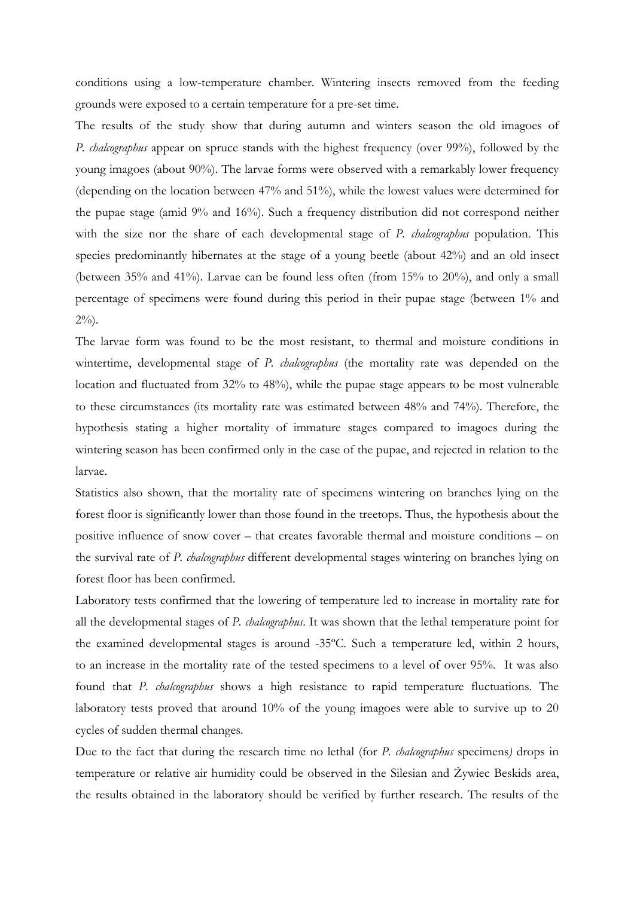conditions using a low-temperature chamber. Wintering insects removed from the feeding grounds were exposed to a certain temperature for a pre-set time.

The results of the study show that during autumn and winters season the old imagoes of *P. chalcographus* appear on spruce stands with the highest frequency (over 99%), followed by the young imagoes (about 90%). The larvae forms were observed with a remarkably lower frequency (depending on the location between 47% and 51%), while the lowest values were determined for the pupae stage (amid 9% and 16%). Such a frequency distribution did not correspond neither with the size nor the share of each developmental stage of *P. chalcographus* population. This species predominantly hibernates at the stage of a young beetle (about 42%) and an old insect (between 35% and 41%). Larvae can be found less often (from 15% to 20%), and only a small percentage of specimens were found during this period in their pupae stage (between 1% and  $2\%$ ).

The larvae form was found to be the most resistant, to thermal and moisture conditions in wintertime, developmental stage of *P. chalcographus* (the mortality rate was depended on the location and fluctuated from 32% to 48%), while the pupae stage appears to be most vulnerable to these circumstances (its mortality rate was estimated between 48% and 74%). Therefore, the hypothesis stating a higher mortality of immature stages compared to imagoes during the wintering season has been confirmed only in the case of the pupae, and rejected in relation to the larvae.

Statistics also shown, that the mortality rate of specimens wintering on branches lying on the forest floor is significantly lower than those found in the treetops. Thus, the hypothesis about the positive influence of snow cover – that creates favorable thermal and moisture conditions – on the survival rate of *P. chalcographus* different developmental stages wintering on branches lying on forest floor has been confirmed.

Laboratory tests confirmed that the lowering of temperature led to increase in mortality rate for all the developmental stages of *P. chalcographus*. It was shown that the lethal temperature point for the examined developmental stages is around -35ºC. Such a temperature led, within 2 hours, to an increase in the mortality rate of the tested specimens to a level of over 95%. It was also found that *P. chalcographus* shows a high resistance to rapid temperature fluctuations. The laboratory tests proved that around 10% of the young imagoes were able to survive up to 20 cycles of sudden thermal changes.

Due to the fact that during the research time no lethal (for *P. chalcographus* specimens*)* drops in temperature or relative air humidity could be observed in the Silesian and Żywiec Beskids area, the results obtained in the laboratory should be verified by further research. The results of the